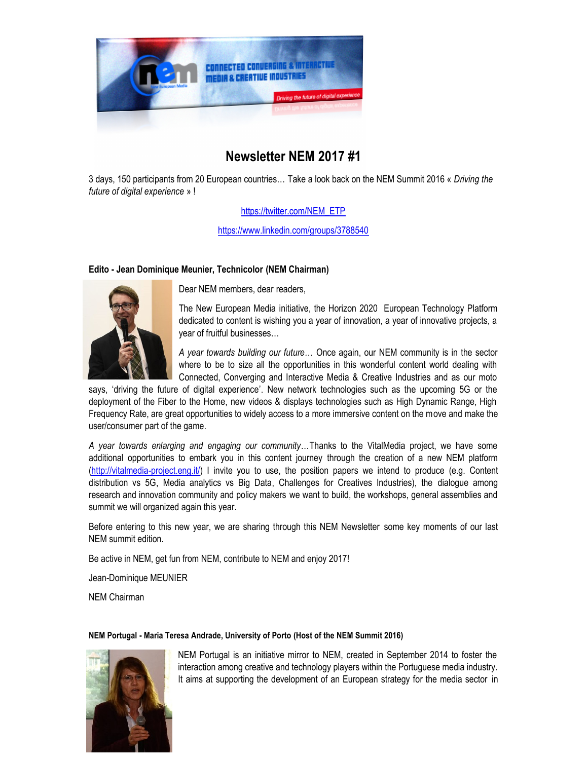

# **Newsletter NEM 2017 #1**

3 days, 150 participants from 20 European countries… Take a look back on the NEM Summit 2016 « *Driving the future of digital experience* » !

## https://twitter.com/NEM\_ETP

https://www.linkedin.com/groups/3788540

## **Edito - Jean Dominique Meunier, Technicolor (NEM Chairman)**



Dear NEM members, dear readers,

The New European Media initiative, the Horizon 2020 European Technology Platform dedicated to content is wishing you a year of innovation, a year of innovative projects, a year of fruitful businesses…

*A year towards building our future…* Once again, our NEM community is in the sector where to be to size all the opportunities in this wonderful content world dealing with Connected, Converging and Interactive Media & Creative Industries and as our moto

says, 'driving the future of digital experience'. New network technologies such as the upcoming 5G or the deployment of the Fiber to the Home, new videos & displays technologies such as High Dynamic Range, High Frequency Rate, are great opportunities to widely access to a more immersive content on the move and make the user/consumer part of the game.

*A year towards enlarging and engaging our community…*Thanks to the VitalMedia project, we have some additional opportunities to embark you in this content journey through the creation of a new NEM platform (http://vitalmedia-project.eng.it/) I invite you to use, the position papers we intend to produce (e.g. Content distribution vs 5G, Media analytics vs Big Data, Challenges for Creatives Industries), the dialogue among research and innovation community and policy makers we want to build, the workshops, general assemblies and summit we will organized again this year.

Before entering to this new year, we are sharing through this NEM Newsletter some key moments of our last NEM summit edition.

Be active in NEM, get fun from NEM, contribute to NEM and enjoy 2017!

Jean-Dominique MEUNIER

NEM Chairman

#### **NEM Portugal - Maria Teresa Andrade, University of Porto (Host of the NEM Summit 2016)**



NEM Portugal is an initiative mirror to NEM, created in September 2014 to foster the interaction among creative and technology players within the Portuguese media industry. It aims at supporting the development of an European strategy for the media sector in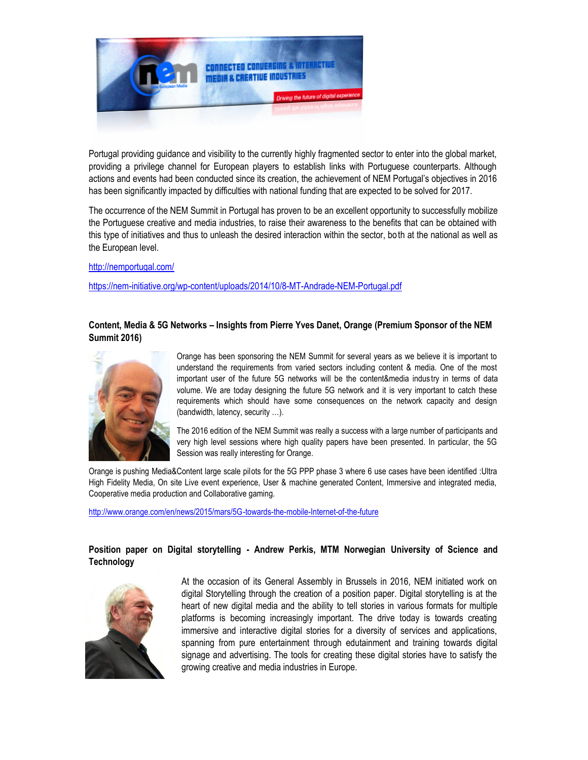

Portugal providing guidance and visibility to the currently highly fragmented sector to enter into the global market, providing a privilege channel for European players to establish links with Portuguese counterparts. Although actions and events had been conducted since its creation, the achievement of NEM Portugal's objectives in 2016 has been significantly impacted by difficulties with national funding that are expected to be solved for 2017.

The occurrence of the NEM Summit in Portugal has proven to be an excellent opportunity to successfully mobilize the Portuguese creative and media industries, to raise their awareness to the benefits that can be obtained with this type of initiatives and thus to unleash the desired interaction within the sector, both at the national as well as the European level.

http://nemportugal.com/

https://nem-initiative.org/wp-content/uploads/2014/10/8-MT-Andrade-NEM-Portugal.pdf

## **Content, Media & 5G Networks – Insights from Pierre Yves Danet, Orange (Premium Sponsor of the NEM Summit 2016)**



Orange has been sponsoring the NEM Summit for several years as we believe it is important to understand the requirements from varied sectors including content & media. One of the most important user of the future 5G networks will be the content&media indus try in terms of data volume. We are today designing the future 5G network and it is very important to catch these requirements which should have some consequences on the network capacity and design (bandwidth, latency, security …).

The 2016 edition of the NEM Summit was really a success with a large number of participants and very high level sessions where high quality papers have been presented. In particular, the 5G Session was really interesting for Orange.

Orange is pushing Media&Content large scale pilots for the 5G PPP phase 3 where 6 use cases have been identified :Ultra High Fidelity Media, On site Live event experience, User & machine generated Content, Immersive and integrated media, Cooperative media production and Collaborative gaming.

http://www.orange.com/en/news/2015/mars/5G-towards-the-mobile-Internet-of-the-future

## **Position paper on Digital storytelling - Andrew Perkis, MTM Norwegian University of Science and Technology**



At the occasion of its General Assembly in Brussels in 2016, NEM initiated work on digital Storytelling through the creation of a position paper. Digital storytelling is at the heart of new digital media and the ability to tell stories in various formats for multiple platforms is becoming increasingly important. The drive today is towards creating immersive and interactive digital stories for a diversity of services and applications, spanning from pure entertainment through edutainment and training towards digital signage and advertising. The tools for creating these digital stories have to satisfy the growing creative and media industries in Europe.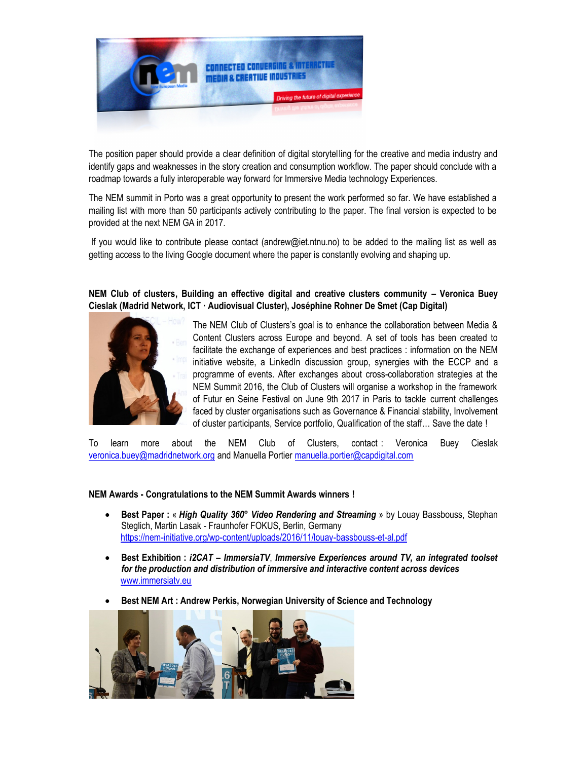

The position paper should provide a clear definition of digital storytel ling for the creative and media industry and identify gaps and weaknesses in the story creation and consumption workflow. The paper should conclude with a roadmap towards a fully interoperable way forward for Immersive Media technology Experiences.

The NEM summit in Porto was a great opportunity to present the work performed so far. We have established a mailing list with more than 50 participants actively contributing to the paper. The final version is expected to be provided at the next NEM GA in 2017.

If you would like to contribute please contact (andrew@iet.ntnu.no) to be added to the mailing list as well as getting access to the living Google document where the paper is constantly evolving and shaping up.

# **NEM Club of clusters, Building an effective digital and creative clusters community – Veronica Buey Cieslak (Madrid Network, ICT · Audiovisual Cluster), Joséphine Rohner De Smet (Cap Digital)**



The NEM Club of Clusters's goal is to enhance the collaboration between Media & Content Clusters across Europe and beyond. A set of tools has been created to facilitate the exchange of experiences and best practices : information on the NEM initiative website, a LinkedIn discussion group, synergies with the ECCP and a programme of events. After exchanges about cross-collaboration strategies at the NEM Summit 2016, the Club of Clusters will organise a workshop in the framework of Futur en Seine Festival on June 9th 2017 in Paris to tackle current challenges faced by cluster organisations such as Governance & Financial stability, Involvement of cluster participants, Service portfolio, Qualification of the staff… Save the date !

To learn more about the NEM Club of Clusters, contact : Veronica Buey Cieslak veronica.buey@madridnetwork.org and Manuella Portier manuella.portier@capdigital.com

#### **NEM Awards - Congratulations to the NEM Summit Awards winners !**

- **Best Paper :** « *High Quality 360° Video Rendering and Streaming* » by Louay Bassbouss, Stephan Steglich, Martin Lasak - Fraunhofer FOKUS, Berlin, Germany https://nem-initiative.org/wp-content/uploads/2016/11/louay-bassbouss-et-al.pdf
- **Best Exhibition :** *i2CAT – ImmersiaTV*, *Immersive Experiences around TV, an integrated toolset for the production and distribution of immersive and interactive content across devices* www.immersiatv.eu
- **Best NEM Art : Andrew Perkis, Norwegian University of Science and Technology**